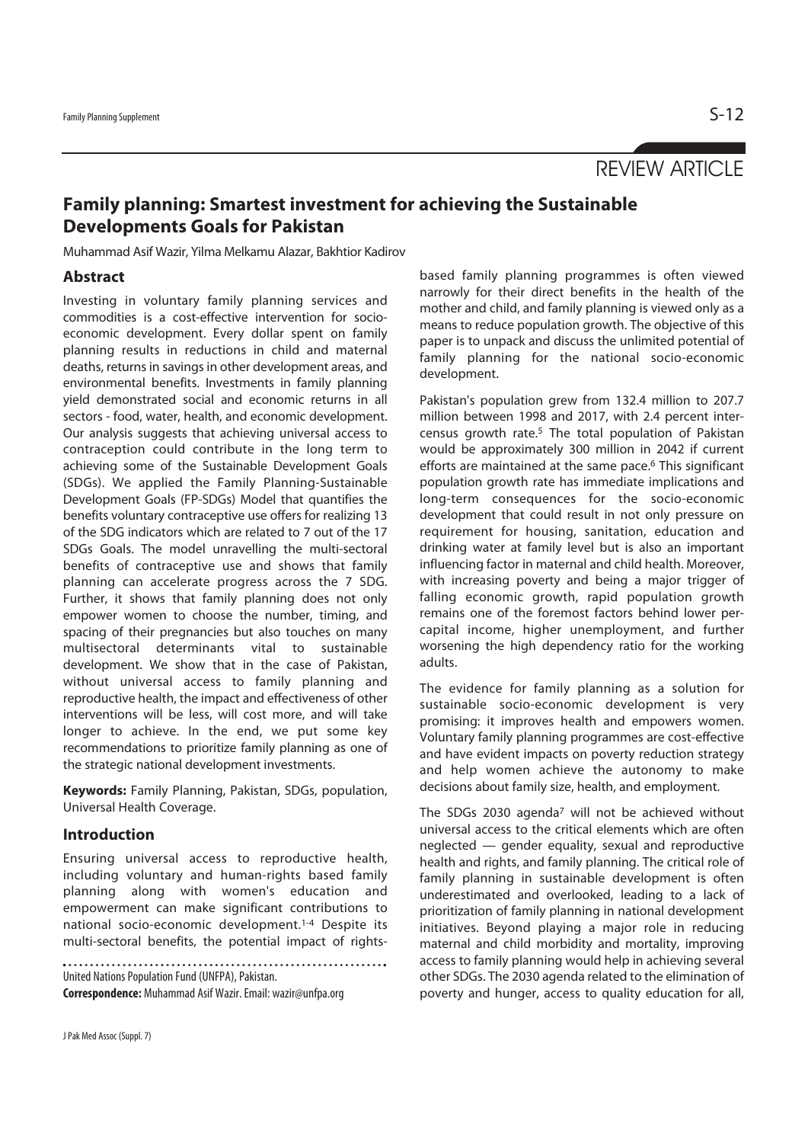# REVIEW ARTICLE

# **Family planning: Smartest investment for achieving the Sustainable Developments Goals for Pakistan**

Muhammad Asif Wazir, Yilma Melkamu Alazar, Bakhtior Kadirov

## **Abstract**

Investing in voluntary family planning services and commodities is a cost-effective intervention for socioeconomic development. Every dollar spent on family planning results in reductions in child and maternal deaths, returns in savings in other development areas, and environmental benefits. Investments in family planning yield demonstrated social and economic returns in all sectors - food, water, health, and economic development. Our analysis suggests that achieving universal access to contraception could contribute in the long term to achieving some of the Sustainable Development Goals (SDGs). We applied the Family Planning-Sustainable Development Goals (FP-SDGs) Model that quantifies the benefits voluntary contraceptive use offers for realizing 13 of the SDG indicators which are related to 7 out of the 17 SDGs Goals. The model unravelling the multi-sectoral benefits of contraceptive use and shows that family planning can accelerate progress across the 7 SDG. Further, it shows that family planning does not only empower women to choose the number, timing, and spacing of their pregnancies but also touches on many multisectoral determinants vital to sustainable development. We show that in the case of Pakistan, without universal access to family planning and reproductive health, the impact and effectiveness of other interventions will be less, will cost more, and will take longer to achieve. In the end, we put some key recommendations to prioritize family planning as one of the strategic national development investments.

**Keywords:** Family Planning, Pakistan, SDGs, population, Universal Health Coverage.

## **Introduction**

Ensuring universal access to reproductive health, including voluntary and human-rights based family planning along with women's education and empowerment can make significant contributions to national socio-economic development.1-4 Despite its multi-sectoral benefits, the potential impact of rights-

United Nations Population Fund (UNFPA), Pakistan. **Correspondence:** Muhammad Asif Wazir. Email: wazir@unfpa.org

J Pak Med Assoc (Suppl. 7)

based family planning programmes is often viewed narrowly for their direct benefits in the health of the mother and child, and family planning is viewed only as a means to reduce population growth. The objective of this paper is to unpack and discuss the unlimited potential of family planning for the national socio-economic development.

Pakistan's population grew from 132.4 million to 207.7 million between 1998 and 2017, with 2.4 percent intercensus growth rate.5 The total population of Pakistan would be approximately 300 million in 2042 if current efforts are maintained at the same pace.<sup>6</sup> This significant population growth rate has immediate implications and long-term consequences for the socio-economic development that could result in not only pressure on requirement for housing, sanitation, education and drinking water at family level but is also an important influencing factor in maternal and child health. Moreover, with increasing poverty and being a major trigger of falling economic growth, rapid population growth remains one of the foremost factors behind lower percapital income, higher unemployment, and further worsening the high dependency ratio for the working adults.

The evidence for family planning as a solution for sustainable socio-economic development is very promising: it improves health and empowers women. Voluntary family planning programmes are cost-effective and have evident impacts on poverty reduction strategy and help women achieve the autonomy to make decisions about family size, health, and employment.

The SDGs 2030 agenda<sup>7</sup> will not be achieved without universal access to the critical elements which are often neglected — gender equality, sexual and reproductive health and rights, and family planning. The critical role of family planning in sustainable development is often underestimated and overlooked, leading to a lack of prioritization of family planning in national development initiatives. Beyond playing a major role in reducing maternal and child morbidity and mortality, improving access to family planning would help in achieving several other SDGs. The 2030 agenda related to the elimination of poverty and hunger, access to quality education for all,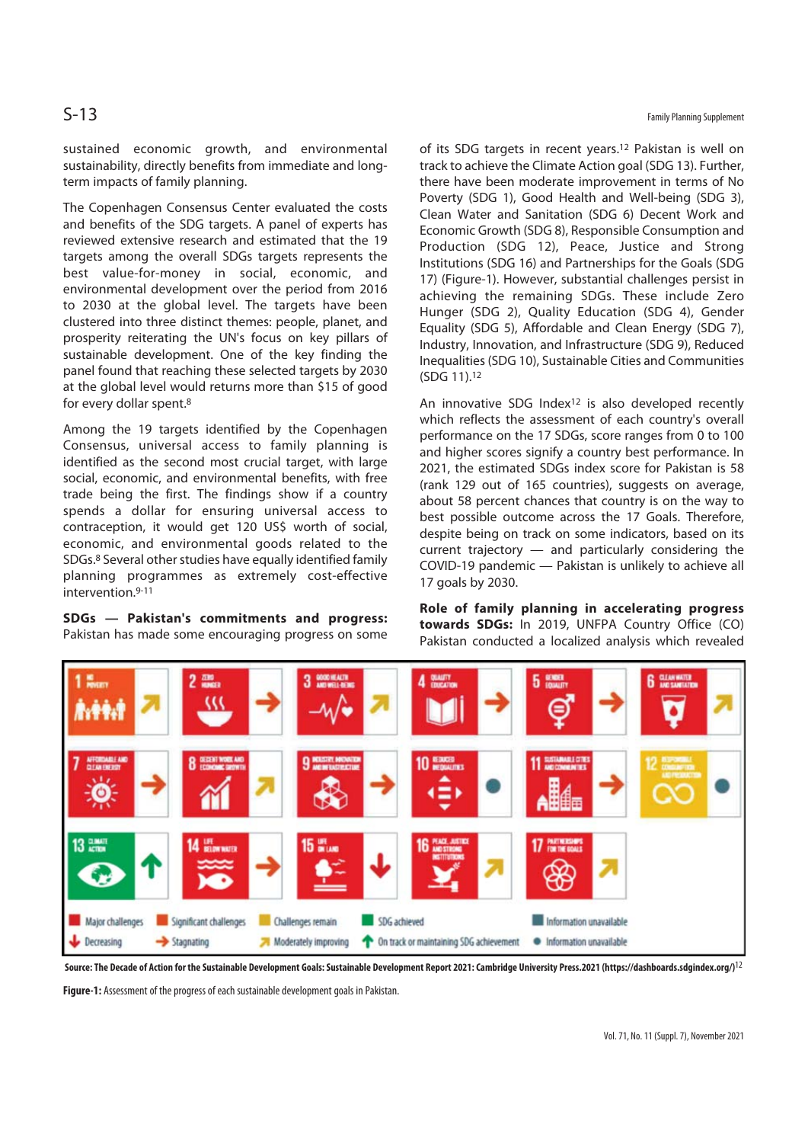sustained economic growth, and environmental sustainability, directly benefits from immediate and longterm impacts of family planning.

The Copenhagen Consensus Center evaluated the costs and benefits of the SDG targets. A panel of experts has reviewed extensive research and estimated that the 19 targets among the overall SDGs targets represents the best value-for-money in social, economic, and environmental development over the period from 2016 to 2030 at the global level. The targets have been clustered into three distinct themes: people, planet, and prosperity reiterating the UN's focus on key pillars of sustainable development. One of the key finding the panel found that reaching these selected targets by 2030 at the global level would returns more than \$15 of good for every dollar spent.8

Among the 19 targets identified by the Copenhagen Consensus, universal access to family planning is identified as the second most crucial target, with large social, economic, and environmental benefits, with free trade being the first. The findings show if a country spends a dollar for ensuring universal access to contraception, it would get 120 US\$ worth of social, economic, and environmental goods related to the SDGs.8 Several other studies have equally identified family planning programmes as extremely cost-effective intervention.9-11

**SDGs — Pakistan's commitments and progress:** Pakistan has made some encouraging progress on some

 $S-13$  Family Planning Supplement

of its SDG targets in recent years.12 Pakistan is well on track to achieve the Climate Action goal (SDG 13). Further, there have been moderate improvement in terms of No Poverty (SDG 1), Good Health and Well-being (SDG 3), Clean Water and Sanitation (SDG 6) Decent Work and Economic Growth (SDG 8), Responsible Consumption and Production (SDG 12), Peace, Justice and Strong Institutions (SDG 16) and Partnerships for the Goals (SDG 17) (Figure-1). However, substantial challenges persist in achieving the remaining SDGs. These include Zero Hunger (SDG 2), Quality Education (SDG 4), Gender Equality (SDG 5), Affordable and Clean Energy (SDG 7), Industry, Innovation, and Infrastructure (SDG 9), Reduced Inequalities (SDG 10), Sustainable Cities and Communities (SDG 11).12

An innovative SDG Index<sup>12</sup> is also developed recently which reflects the assessment of each country's overall performance on the 17 SDGs, score ranges from 0 to 100 and higher scores signify a country best performance. In 2021, the estimated SDGs index score for Pakistan is 58 (rank 129 out of 165 countries), suggests on average, about 58 percent chances that country is on the way to best possible outcome across the 17 Goals. Therefore, despite being on track on some indicators, based on its current trajectory — and particularly considering the COVID-19 pandemic — Pakistan is unlikely to achieve all 17 goals by 2030.

**Role of family planning in accelerating progress towards SDGs:** In 2019, UNFPA Country Office (CO) Pakistan conducted a localized analysis which revealed



**Source: The Decade of Action for the Sustainable Development Goals: Sustainable Development Report 2021: Cambridge University Press.2021 (https://dashboards.sdgindex.org/)**12

**Figure-1:** Assessment of the progress of each sustainable development goals in Pakistan.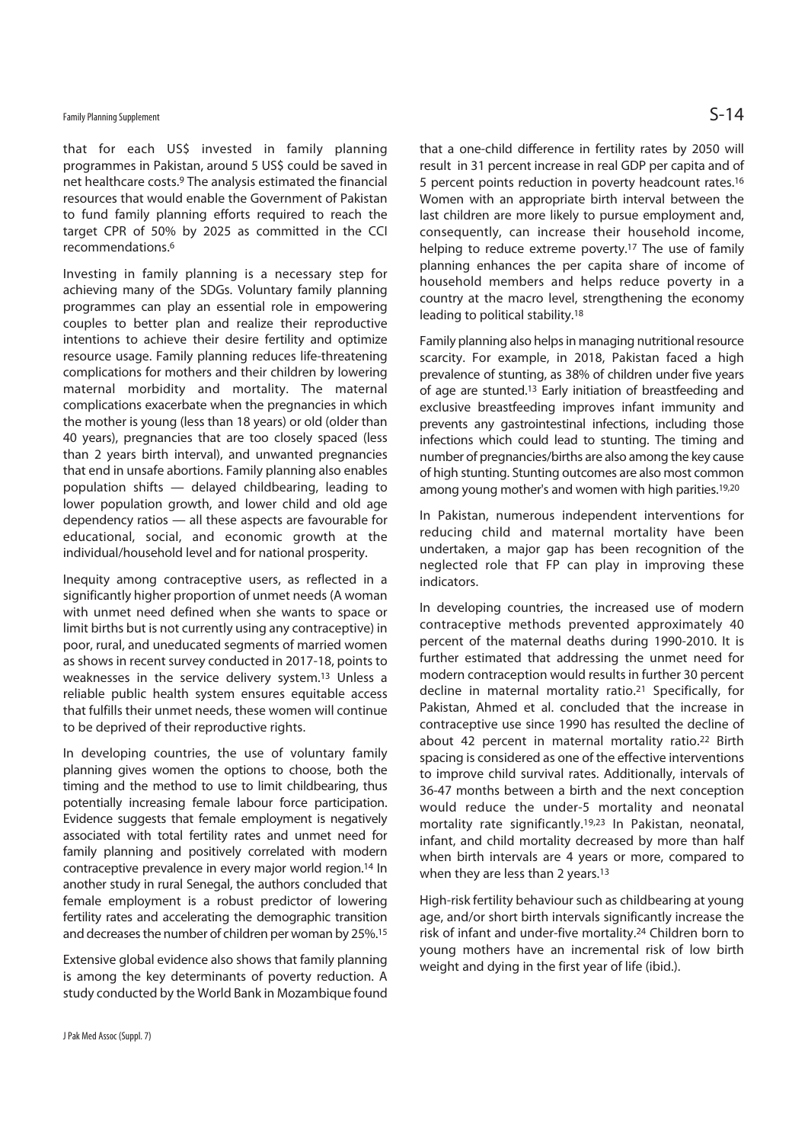# Family Planning Supplement  $\mathsf{S-14}$

that for each US\$ invested in family planning programmes in Pakistan, around 5 US\$ could be saved in net healthcare costs.9 The analysis estimated the financial resources that would enable the Government of Pakistan to fund family planning efforts required to reach the target CPR of 50% by 2025 as committed in the CCI recommendations.6

Investing in family planning is a necessary step for achieving many of the SDGs. Voluntary family planning programmes can play an essential role in empowering couples to better plan and realize their reproductive intentions to achieve their desire fertility and optimize resource usage. Family planning reduces life-threatening complications for mothers and their children by lowering maternal morbidity and mortality. The maternal complications exacerbate when the pregnancies in which the mother is young (less than 18 years) or old (older than 40 years), pregnancies that are too closely spaced (less than 2 years birth interval), and unwanted pregnancies that end in unsafe abortions. Family planning also enables population shifts — delayed childbearing, leading to lower population growth, and lower child and old age dependency ratios — all these aspects are favourable for educational, social, and economic growth at the individual/household level and for national prosperity.

Inequity among contraceptive users, as reflected in a significantly higher proportion of unmet needs (A woman with unmet need defined when she wants to space or limit births but is not currently using any contraceptive) in poor, rural, and uneducated segments of married women as shows in recent survey conducted in 2017-18, points to weaknesses in the service delivery system.13 Unless a reliable public health system ensures equitable access that fulfills their unmet needs, these women will continue to be deprived of their reproductive rights.

In developing countries, the use of voluntary family planning gives women the options to choose, both the timing and the method to use to limit childbearing, thus potentially increasing female labour force participation. Evidence suggests that female employment is negatively associated with total fertility rates and unmet need for family planning and positively correlated with modern contraceptive prevalence in every major world region.14 In another study in rural Senegal, the authors concluded that female employment is a robust predictor of lowering fertility rates and accelerating the demographic transition and decreases the number of children per woman by 25%.15

Extensive global evidence also shows that family planning is among the key determinants of poverty reduction. A study conducted by the World Bank in Mozambique found that a one-child difference in fertility rates by 2050 will result in 31 percent increase in real GDP per capita and of 5 percent points reduction in poverty headcount rates.16 Women with an appropriate birth interval between the last children are more likely to pursue employment and, consequently, can increase their household income, helping to reduce extreme poverty.<sup>17</sup> The use of family planning enhances the per capita share of income of household members and helps reduce poverty in a country at the macro level, strengthening the economy leading to political stability.18

Family planning also helps in managing nutritional resource scarcity. For example, in 2018, Pakistan faced a high prevalence of stunting, as 38% of children under five years of age are stunted.13 Early initiation of breastfeeding and exclusive breastfeeding improves infant immunity and prevents any gastrointestinal infections, including those infections which could lead to stunting. The timing and number of pregnancies/births are also among the key cause of high stunting. Stunting outcomes are also most common among young mother's and women with high parities.19,20

In Pakistan, numerous independent interventions for reducing child and maternal mortality have been undertaken, a major gap has been recognition of the neglected role that FP can play in improving these indicators.

In developing countries, the increased use of modern contraceptive methods prevented approximately 40 percent of the maternal deaths during 1990-2010. It is further estimated that addressing the unmet need for modern contraception would results in further 30 percent decline in maternal mortality ratio.21 Specifically, for Pakistan, Ahmed et al. concluded that the increase in contraceptive use since 1990 has resulted the decline of about 42 percent in maternal mortality ratio.<sup>22</sup> Birth spacing is considered as one of the effective interventions to improve child survival rates. Additionally, intervals of 36-47 months between a birth and the next conception would reduce the under-5 mortality and neonatal mortality rate significantly.19,23 In Pakistan, neonatal, infant, and child mortality decreased by more than half when birth intervals are 4 years or more, compared to when they are less than 2 years.<sup>13</sup>

High-risk fertility behaviour such as childbearing at young age, and/or short birth intervals significantly increase the risk of infant and under-five mortality.24 Children born to young mothers have an incremental risk of low birth weight and dying in the first year of life (ibid.).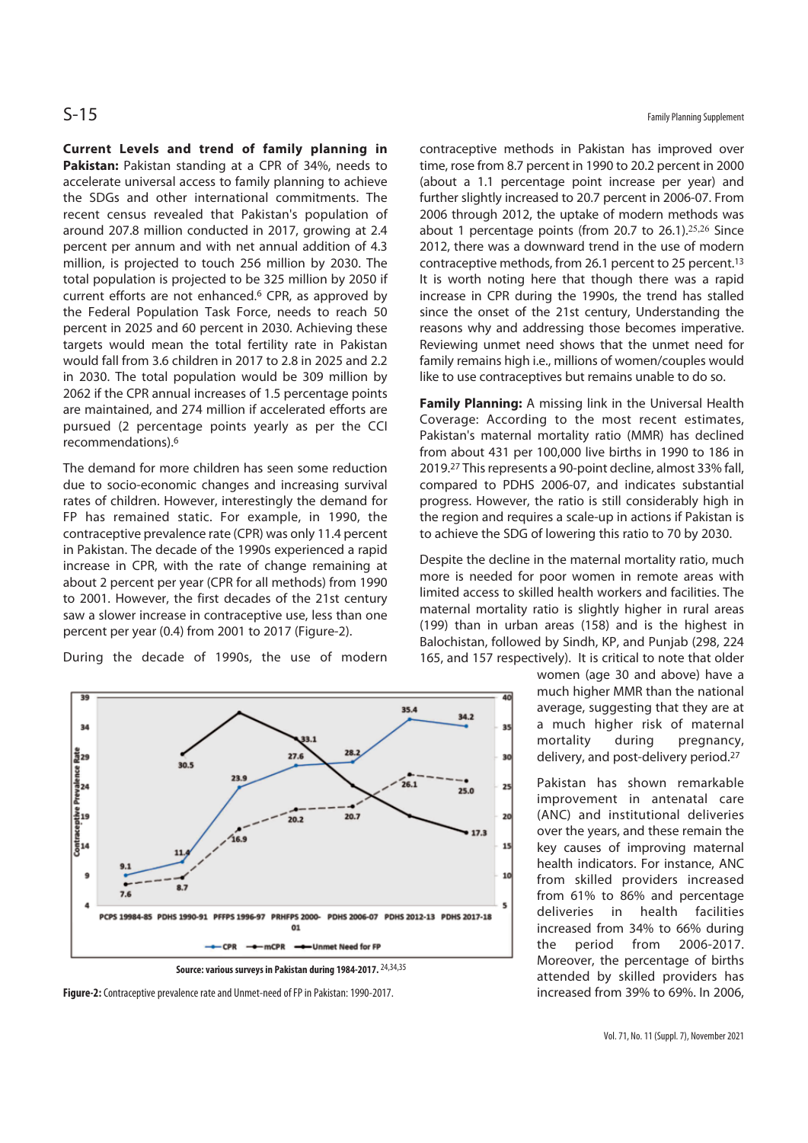**Current Levels and trend of family planning in**  Pakistan: Pakistan standing at a CPR of 34%, needs to accelerate universal access to family planning to achieve the SDGs and other international commitments. The recent census revealed that Pakistan's population of around 207.8 million conducted in 2017, growing at 2.4 percent per annum and with net annual addition of 4.3 million, is projected to touch 256 million by 2030. The total population is projected to be 325 million by 2050 if current efforts are not enhanced.6 CPR, as approved by the Federal Population Task Force, needs to reach 50 percent in 2025 and 60 percent in 2030. Achieving these targets would mean the total fertility rate in Pakistan would fall from 3.6 children in 2017 to 2.8 in 2025 and 2.2 in 2030. The total population would be 309 million by 2062 if the CPR annual increases of 1.5 percentage points are maintained, and 274 million if accelerated efforts are pursued (2 percentage points yearly as per the CCI recommendations).6

The demand for more children has seen some reduction due to socio-economic changes and increasing survival rates of children. However, interestingly the demand for FP has remained static. For example, in 1990, the contraceptive prevalence rate (CPR) was only 11.4 percent in Pakistan. The decade of the 1990s experienced a rapid increase in CPR, with the rate of change remaining at about 2 percent per year (CPR for all methods) from 1990 to 2001. However, the first decades of the 21st century saw a slower increase in contraceptive use, less than one percent per year (0.4) from 2001 to 2017 (Figure-2).

During the decade of 1990s, the use of modern





**Figure-2:** Contraceptive prevalence rate and Unmet-need of FP in Pakistan: 1990-2017.

contraceptive methods in Pakistan has improved over time, rose from 8.7 percent in 1990 to 20.2 percent in 2000 (about a 1.1 percentage point increase per year) and further slightly increased to 20.7 percent in 2006-07. From 2006 through 2012, the uptake of modern methods was about 1 percentage points (from 20.7 to 26.1).25,26 Since 2012, there was a downward trend in the use of modern contraceptive methods, from 26.1 percent to 25 percent.13 It is worth noting here that though there was a rapid increase in CPR during the 1990s, the trend has stalled since the onset of the 21st century, Understanding the reasons why and addressing those becomes imperative. Reviewing unmet need shows that the unmet need for family remains high i.e., millions of women/couples would like to use contraceptives but remains unable to do so.

**Family Planning:** A missing link in the Universal Health Coverage: According to the most recent estimates, Pakistan's maternal mortality ratio (MMR) has declined from about 431 per 100,000 live births in 1990 to 186 in 2019.27 This represents a 90-point decline, almost 33% fall, compared to PDHS 2006-07, and indicates substantial progress. However, the ratio is still considerably high in the region and requires a scale-up in actions if Pakistan is to achieve the SDG of lowering this ratio to 70 by 2030.

Despite the decline in the maternal mortality ratio, much more is needed for poor women in remote areas with limited access to skilled health workers and facilities. The maternal mortality ratio is slightly higher in rural areas (199) than in urban areas (158) and is the highest in Balochistan, followed by Sindh, KP, and Punjab (298, 224 165, and 157 respectively). It is critical to note that older

> women (age 30 and above) have a much higher MMR than the national average, suggesting that they are at a much higher risk of maternal mortality during pregnancy, delivery, and post-delivery period.27

> Pakistan has shown remarkable improvement in antenatal care (ANC) and institutional deliveries over the years, and these remain the key causes of improving maternal health indicators. For instance, ANC from skilled providers increased from 61% to 86% and percentage deliveries in health facilities increased from 34% to 66% during the period from 2006-2017. Moreover, the percentage of births attended by skilled providers has increased from 39% to 69%. In 2006,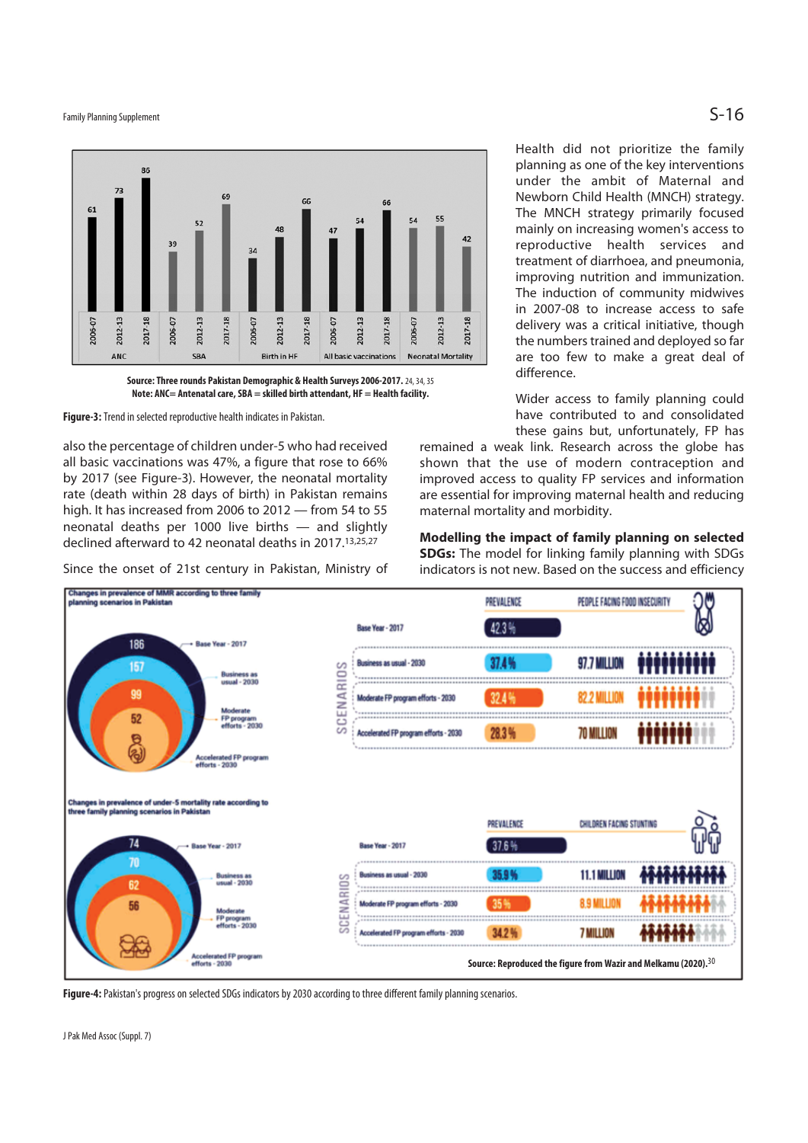Family Planning Supplement  $\mathsf{S\text{-}16}$ 



**Note: ANC= Antenatal care, SBA = skilled birth attendant, HF = Health facility.** 

**Figure-3:** Trend in selected reproductive health indicates in Pakistan.

also the percentage of children under-5 who had received all basic vaccinations was 47%, a figure that rose to 66% by 2017 (see Figure-3). However, the neonatal mortality rate (death within 28 days of birth) in Pakistan remains high. It has increased from 2006 to 2012 — from 54 to 55 neonatal deaths per 1000 live births — and slightly declined afterward to 42 neonatal deaths in 2017.13,25,27

Since the onset of 21st century in Pakistan, Ministry of

Health did not prioritize the family planning as one of the key interventions under the ambit of Maternal and Newborn Child Health (MNCH) strategy. The MNCH strategy primarily focused mainly on increasing women's access to reproductive health services and treatment of diarrhoea, and pneumonia, improving nutrition and immunization. The induction of community midwives in 2007-08 to increase access to safe delivery was a critical initiative, though the numbers trained and deployed so far are too few to make a great deal of difference.

Wider access to family planning could have contributed to and consolidated these gains but, unfortunately, FP has

remained a weak link. Research across the globe has shown that the use of modern contraception and improved access to quality FP services and information are essential for improving maternal health and reducing maternal mortality and morbidity.

**Modelling the impact of family planning on selected SDGs:** The model for linking family planning with SDGs indicators is not new. Based on the success and efficiency



**Figure-4:** Pakistan's progress on selected SDGs indicators by 2030 according to three different family planning scenarios.

J Pak Med Assoc (Suppl. 7)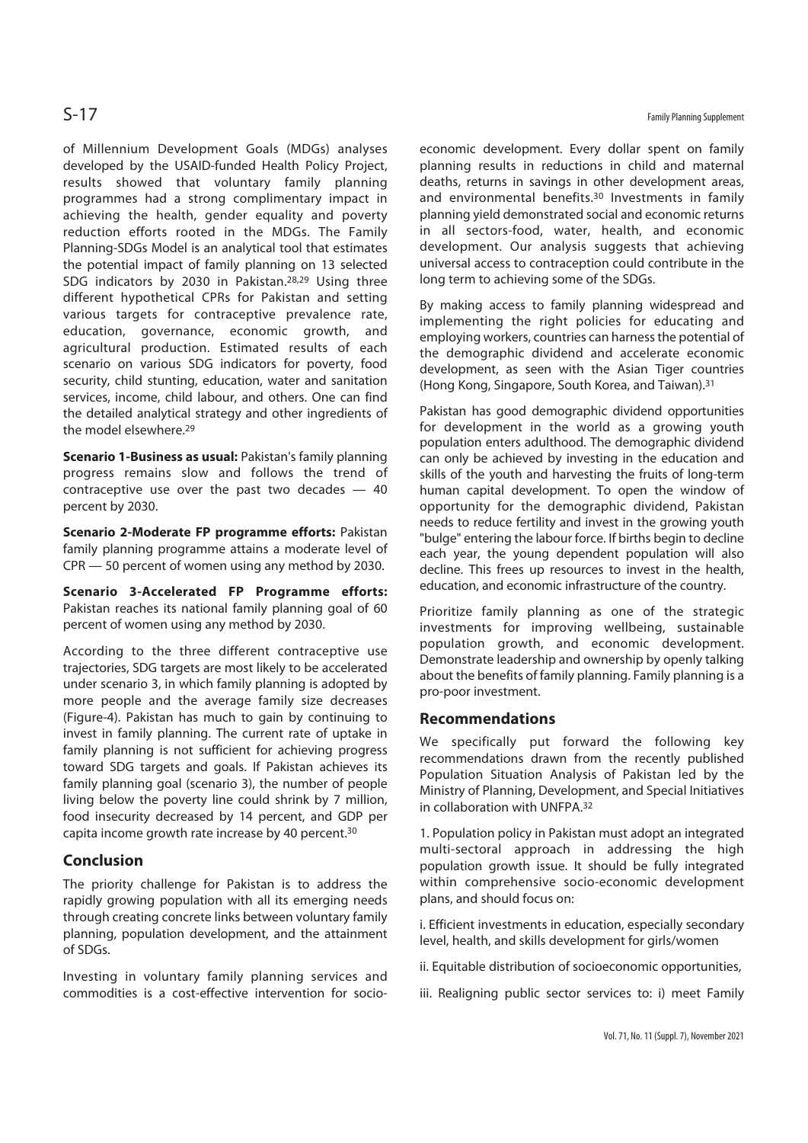of Millennium Development Goals (MDGs) analyses developed by the USAID-funded Health Policy Project, results showed that voluntary family planning programmes had a strong complimentary impact in achieving the health, gender equality and poverty reduction efforts rooted in the MDGs. The Family Planning-SDGs Model is an analytical tool that estimates the potential impact of family planning on 13 selected SDG indicators by 2030 in Pakistan.28,29 Using three different hypothetical CPRs for Pakistan and setting various targets for contraceptive prevalence rate, education, governance, economic growth, and agricultural production. Estimated results of each scenario on various SDG indicators for poverty, food security, child stunting, education, water and sanitation services, income, child labour, and others. One can find the detailed analytical strategy and other ingredients of the model elsewhere.29

**Scenario 1-Business as usual:** Pakistan's family planning progress remains slow and follows the trend of contraceptive use over the past two decades — 40 percent by 2030.

**Scenario 2-Moderate FP programme efforts:** Pakistan family planning programme attains a moderate level of CPR — 50 percent of women using any method by 2030.

**Scenario 3-Accelerated FP Programme efforts:**  Pakistan reaches its national family planning goal of 60 percent of women using any method by 2030.

According to the three different contraceptive use trajectories, SDG targets are most likely to be accelerated under scenario 3, in which family planning is adopted by more people and the average family size decreases (Figure-4). Pakistan has much to gain by continuing to invest in family planning. The current rate of uptake in family planning is not sufficient for achieving progress toward SDG targets and goals. If Pakistan achieves its family planning goal (scenario 3), the number of people living below the poverty line could shrink by 7 million, food insecurity decreased by 14 percent, and GDP per capita income growth rate increase by 40 percent.30

# **Conclusion**

The priority challenge for Pakistan is to address the rapidly growing population with all its emerging needs through creating concrete links between voluntary family planning, population development, and the attainment of SDGs.

Investing in voluntary family planning services and commodities is a cost-effective intervention for socioeconomic development. Every dollar spent on family planning results in reductions in child and maternal deaths, returns in savings in other development areas, and environmental benefits.30 Investments in family planning yield demonstrated social and economic returns in all sectors-food, water, health, and economic development. Our analysis suggests that achieving universal access to contraception could contribute in the long term to achieving some of the SDGs.

By making access to family planning widespread and implementing the right policies for educating and employing workers, countries can harness the potential of the demographic dividend and accelerate economic development, as seen with the Asian Tiger countries (Hong Kong, Singapore, South Korea, and Taiwan).31

Pakistan has good demographic dividend opportunities for development in the world as a growing youth population enters adulthood. The demographic dividend can only be achieved by investing in the education and skills of the youth and harvesting the fruits of long-term human capital development. To open the window of opportunity for the demographic dividend, Pakistan needs to reduce fertility and invest in the growing youth "bulge" entering the labour force. If births begin to decline each year, the young dependent population will also decline. This frees up resources to invest in the health, education, and economic infrastructure of the country.

Prioritize family planning as one of the strategic investments for improving wellbeing, sustainable population growth, and economic development. Demonstrate leadership and ownership by openly talking about the benefits of family planning. Family planning is a pro-poor investment.

### **Recommendations**

We specifically put forward the following key recommendations drawn from the recently published Population Situation Analysis of Pakistan led by the Ministry of Planning, Development, and Special Initiatives in collaboration with UNFPA.32

1. Population policy in Pakistan must adopt an integrated multi-sectoral approach in addressing the high population growth issue. It should be fully integrated within comprehensive socio-economic development plans, and should focus on:

i. Efficient investments in education, especially secondary level, health, and skills development for girls/women

- ii. Equitable distribution of socioeconomic opportunities,
- iii. Realigning public sector services to: i) meet Family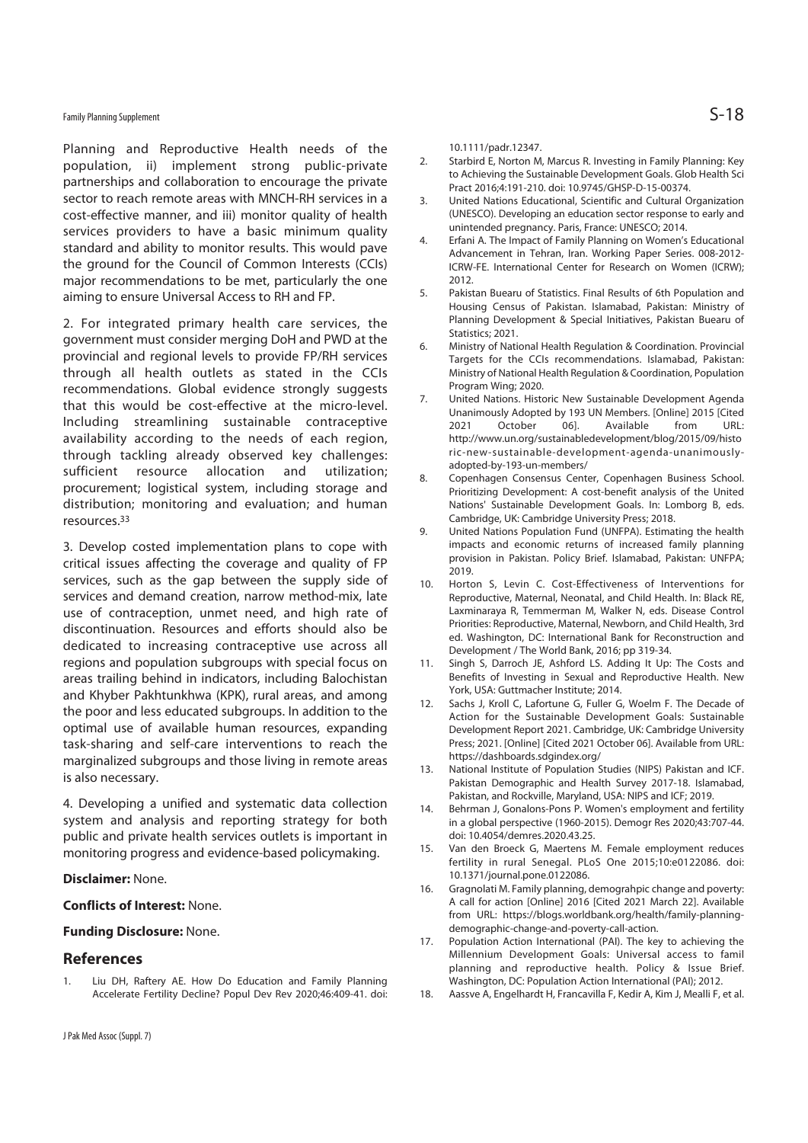# Family Planning Supplement  $\mathsf{S\text{-}18}$

Planning and Reproductive Health needs of the population, ii) implement strong public-private partnerships and collaboration to encourage the private sector to reach remote areas with MNCH-RH services in a cost-effective manner, and iii) monitor quality of health services providers to have a basic minimum quality standard and ability to monitor results. This would pave the ground for the Council of Common Interests (CCIs) major recommendations to be met, particularly the one aiming to ensure Universal Access to RH and FP.

2. For integrated primary health care services, the government must consider merging DoH and PWD at the provincial and regional levels to provide FP/RH services through all health outlets as stated in the CCIs recommendations. Global evidence strongly suggests that this would be cost-effective at the micro-level. Including streamlining sustainable contraceptive availability according to the needs of each region, through tackling already observed key challenges: sufficient resource allocation and utilization; procurement; logistical system, including storage and distribution; monitoring and evaluation; and human resources.33

3. Develop costed implementation plans to cope with critical issues affecting the coverage and quality of FP services, such as the gap between the supply side of services and demand creation, narrow method-mix, late use of contraception, unmet need, and high rate of discontinuation. Resources and efforts should also be dedicated to increasing contraceptive use across all regions and population subgroups with special focus on areas trailing behind in indicators, including Balochistan and Khyber Pakhtunkhwa (KPK), rural areas, and among the poor and less educated subgroups. In addition to the optimal use of available human resources, expanding task-sharing and self-care interventions to reach the marginalized subgroups and those living in remote areas is also necessary.

4. Developing a unified and systematic data collection system and analysis and reporting strategy for both public and private health services outlets is important in monitoring progress and evidence-based policymaking.

### **Disclaimer:** None.

### **Conflicts of Interest:** None.

### **Funding Disclosure:** None.

### **References**

1. Liu DH, Raftery AE. How Do Education and Family Planning Accelerate Fertility Decline? Popul Dev Rev 2020;46:409-41. doi: 10.1111/padr.12347.

- 2. Starbird E, Norton M, Marcus R. Investing in Family Planning: Key to Achieving the Sustainable Development Goals. Glob Health Sci Pract 2016;4:191-210. doi: 10.9745/GHSP-D-15-00374.
- 3. United Nations Educational, Scientific and Cultural Organization (UNESCO). Developing an education sector response to early and unintended pregnancy. Paris, France: UNESCO; 2014.
- 4. Erfani A. The Impact of Family Planning on Women's Educational Advancement in Tehran, Iran. Working Paper Series. 008-2012- ICRW-FE. International Center for Research on Women (ICRW);  $2012$
- 5. Pakistan Buearu of Statistics. Final Results of 6th Population and Housing Census of Pakistan. Islamabad, Pakistan: Ministry of Planning Development & Special Initiatives, Pakistan Buearu of Statistics; 2021.
- 6. Ministry of National Health Regulation & Coordination. Provincial Targets for the CCIs recommendations. Islamabad, Pakistan: Ministry of National Health Regulation & Coordination, Population Program Wing; 2020.
- 7. United Nations. Historic New Sustainable Development Agenda Unanimously Adopted by 193 UN Members. [Online] 2015 [Cited 2021 October 06]. Available from URL: http://www.un.org/sustainabledevelopment/blog/2015/09/histo ric-new-sustainable-development-agenda-unanimouslyadopted-by-193-un-members/
- 8. Copenhagen Consensus Center, Copenhagen Business School. Prioritizing Development: A cost-benefit analysis of the United Nations' Sustainable Development Goals. In: Lomborg B, eds. Cambridge, UK: Cambridge University Press; 2018.
- 9. United Nations Population Fund (UNFPA). Estimating the health impacts and economic returns of increased family planning provision in Pakistan. Policy Brief. Islamabad, Pakistan: UNFPA; 2019.
- 10. Horton S, Levin C. Cost-Effectiveness of Interventions for Reproductive, Maternal, Neonatal, and Child Health. In: Black RE, Laxminaraya R, Temmerman M, Walker N, eds. Disease Control Priorities: Reproductive, Maternal, Newborn, and Child Health, 3rd ed. Washington, DC: International Bank for Reconstruction and Development / The World Bank, 2016; pp 319-34.
- 11. Singh S, Darroch JE, Ashford LS. Adding It Up: The Costs and Benefits of Investing in Sexual and Reproductive Health. New York, USA: Guttmacher Institute; 2014.
- 12. Sachs J, Kroll C, Lafortune G, Fuller G, Woelm F. The Decade of Action for the Sustainable Development Goals: Sustainable Development Report 2021. Cambridge, UK: Cambridge University Press; 2021. [Online] [Cited 2021 October 06]. Available from URL: https://dashboards.sdgindex.org/
- 13. National Institute of Population Studies (NIPS) Pakistan and ICF. Pakistan Demographic and Health Survey 2017-18. Islamabad, Pakistan, and Rockville, Maryland, USA: NIPS and ICF; 2019.
- 14. Behrman J, Gonalons-Pons P. Women's employment and fertility in a global perspective (1960-2015). Demogr Res 2020;43:707-44. doi: 10.4054/demres.2020.43.25.
- 15. Van den Broeck G, Maertens M. Female employment reduces fertility in rural Senegal. PLoS One 2015;10:e0122086. doi: 10.1371/journal.pone.0122086.
- 16. Gragnolati M. Family planning, demograhpic change and poverty: A call for action [Online] 2016 [Cited 2021 March 22]. Available from URL: https://blogs.worldbank.org/health/family-planningdemographic-change-and-poverty-call-action.
- 17. Population Action International (PAI). The key to achieving the Millennium Development Goals: Universal access to famil planning and reproductive health. Policy & Issue Brief. Washington, DC: Population Action International (PAI); 2012.
- 18. Aassve A, Engelhardt H, Francavilla F, Kedir A, Kim J, Mealli F, et al.